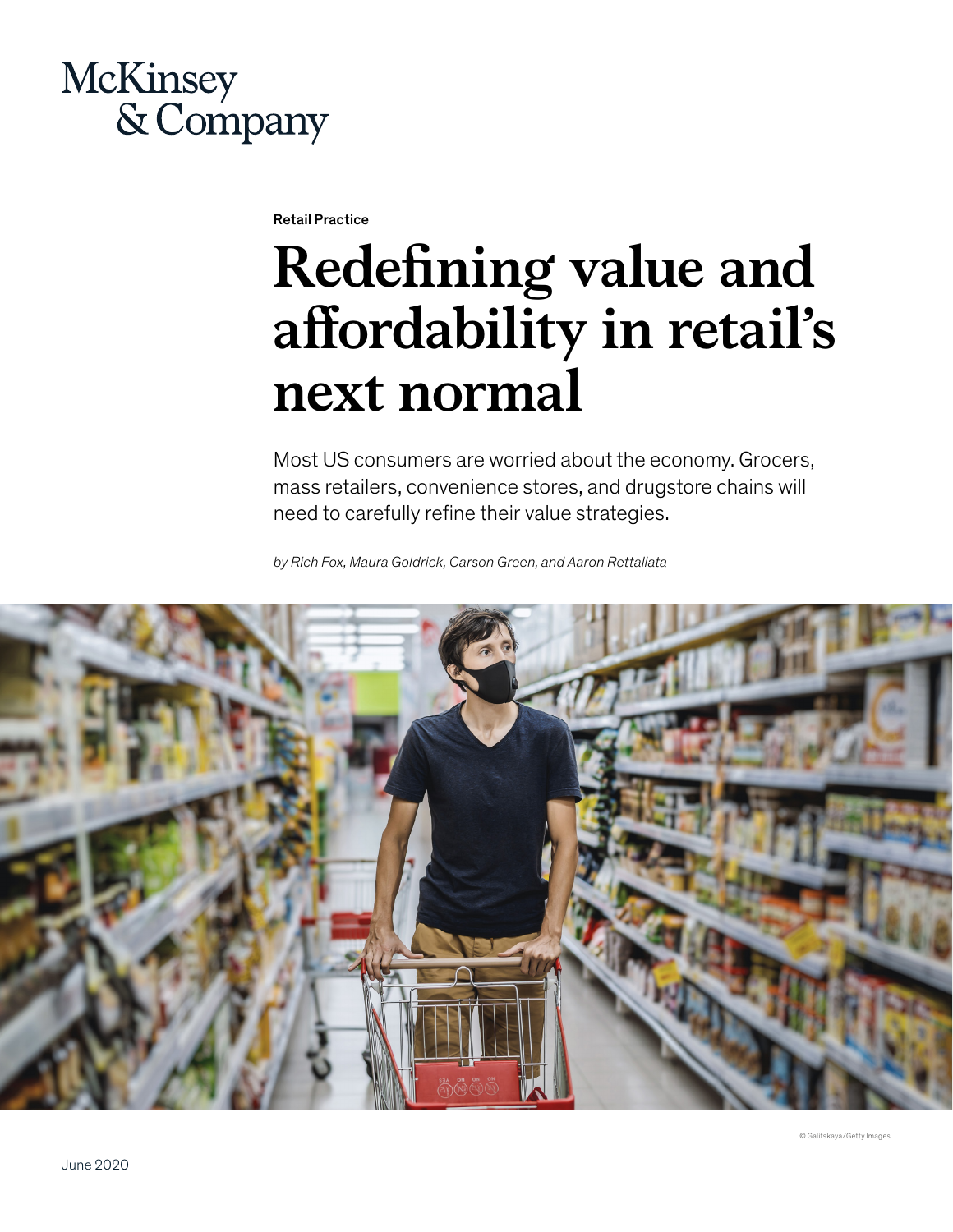# **McKinsey** & Company

Retail Practice

# **Redefining value and affordability in retail's next normal**

Most US consumers are worried about the economy. Grocers, mass retailers, convenience stores, and drugstore chains will need to carefully refine their value strategies.

*by Rich Fox, Maura Goldrick, Carson Green, and Aaron Rettaliata* 

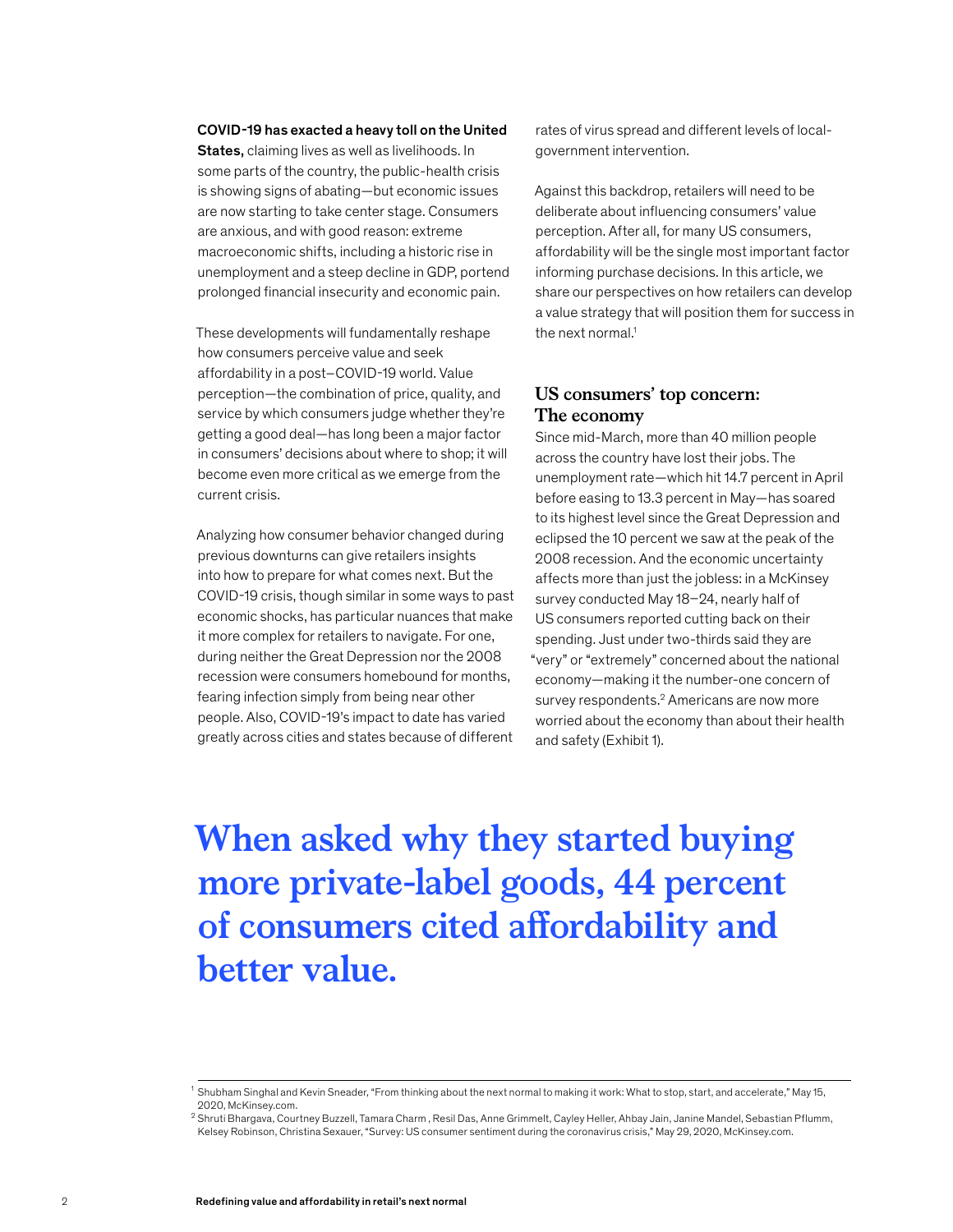### COVID-19 has exacted a heavy toll on the United

States, claiming lives as well as livelihoods. In some parts of the country, the public-health crisis is showing signs of abating—but economic issues are now starting to take center stage. Consumers are anxious, and with good reason: extreme macroeconomic shifts, including a historic rise in unemployment and a steep decline in GDP, portend prolonged financial insecurity and economic pain.

These developments will fundamentally reshape how consumers perceive value and seek affordability in a post–COVID-19 world. Value perception—the combination of price, quality, and service by which consumers judge whether they're getting a good deal—has long been a major factor in consumers' decisions about where to shop; it will become even more critical as we emerge from the current crisis.

Analyzing how consumer behavior changed during previous downturns can give retailers insights into how to prepare for what comes next. But the COVID-19 crisis, though similar in some ways to past economic shocks, has particular nuances that make it more complex for retailers to navigate. For one, during neither the Great Depression nor the 2008 recession were consumers homebound for months, fearing infection simply from being near other people. Also, COVID-19's impact to date has varied greatly across cities and states because of different

rates of virus spread and different levels of localgovernment intervention.

Against this backdrop, retailers will need to be deliberate about influencing consumers' value perception. After all, for many US consumers, affordability will be the single most important factor informing purchase decisions. In this article, we share our perspectives on how retailers can develop a value strategy that will position them for success in the next normal.<sup>1</sup>

# **US consumers' top concern: The economy**

Since mid-March, more than 40 million people across the country have lost their jobs. The unemployment rate—which hit 14.7 percent in April before easing to 13.3 percent in May—has soared to its highest level since the Great Depression and eclipsed the 10 percent we saw at the peak of the 2008 recession. And the economic uncertainty affects more than just the jobless: in a McKinsey survey conducted May 18–24, nearly half of US consumers reported cutting back on their spending. Just under two-thirds said they are "very" or "extremely" concerned about the national economy—making it the number-one concern of survey respondents.<sup>2</sup> Americans are now more worried about the economy than about their health and safety (Exhibit 1).

# **When asked why they started buying more private-label goods, 44 percent of consumers cited affordability and better value.**

<sup>1</sup> Shubham Singhal and Kevin Sneader, "From thinking about the next normal to making it work: What to stop, start, and accelerate," May 15, 2020, McKinsey.com.

<sup>2</sup> Shruti Bhargava, Courtney Buzzell, Tamara Charm , Resil Das, Anne Grimmelt, Cayley Heller, Ahbay Jain, Janine Mandel, Sebastian Pflumm, Kelsey Robinson, Christina Sexauer, "Survey: US consumer sentiment during the coronavirus crisis," May 29, 2020, McKinsey.com.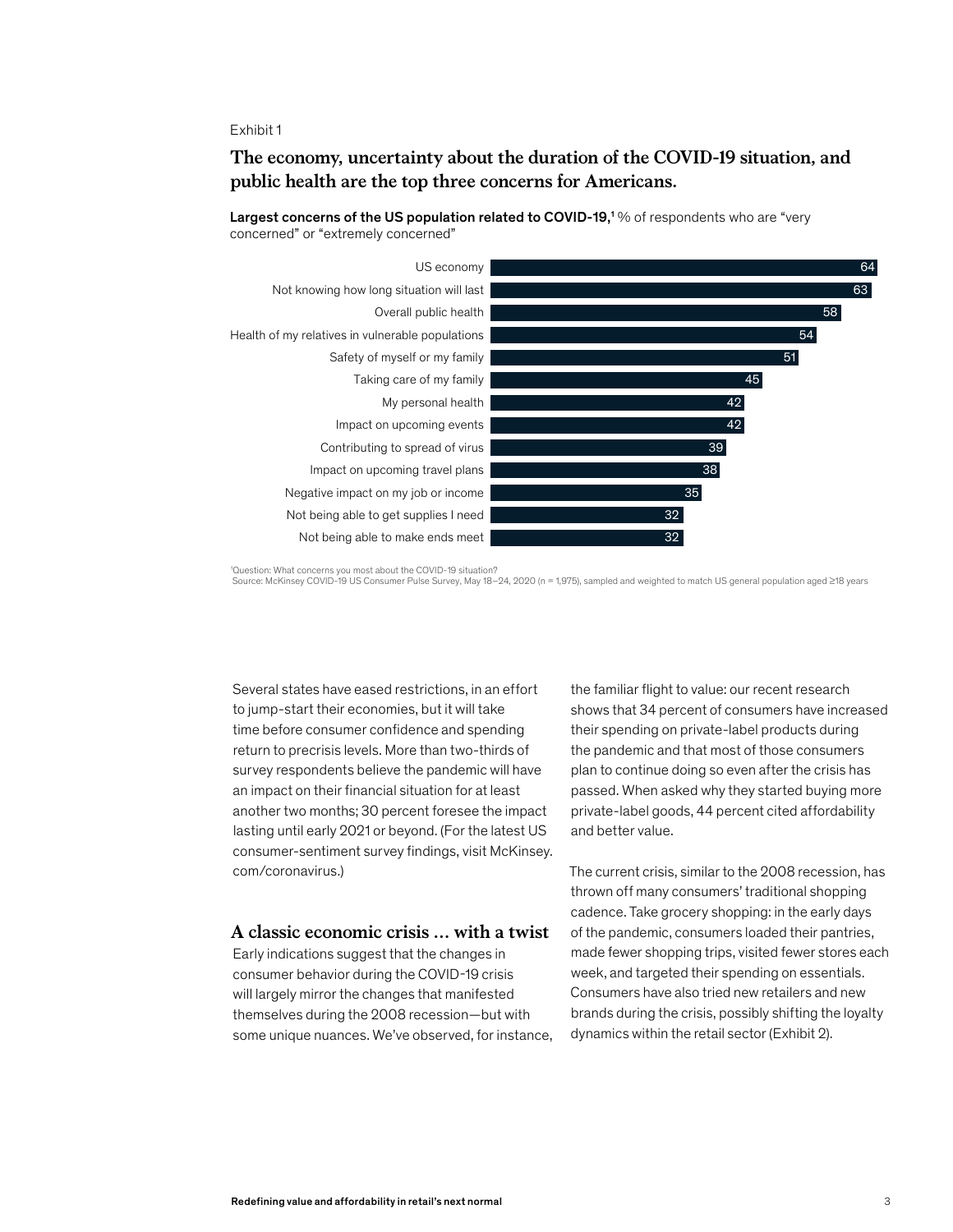#### Exhibit 1

# The economy, uncertainty about the duration of the COVID-19 situation, and **The economy, uncertainty about the duration of the COVID-19 situation, and**  public health are the top three concerns for Americans. **public health are the top three concerns for Americans.**



Largest concerns of the US population related to COVID-19,<sup>1</sup> % of respondents who are "very concerned" or "extremely concerned"

'Question: What concerns you most about the COVID-19 situation?<br>Source: McKinsey COVID-19 US Consumer Pulse Survey, May 18–24, 2020 (n = 1,975), sampled and weighted to match US general population aged ≥18 years

Several states have eased restrictions, in an effort to jump-start their economies, but it will take time before consumer confidence and spending return to precrisis levels. More than two-thirds of survey respondents believe the pandemic will have an impact on their financial situation for at least another two months; 30 percent foresee the impact lasting until early 2021 or beyond. (For the latest US consumer-sentiment survey findings, visit McKinsey. com/coronavirus.)

# **A classic economic crisis … with a twist**

Early indications suggest that the changes in consumer behavior during the COVID-19 crisis will largely mirror the changes that manifested themselves during the 2008 recession—but with some unique nuances. We've observed, for instance, the familiar flight to value: our recent research shows that 34 percent of consumers have increased their spending on private-label products during the pandemic and that most of those consumers plan to continue doing so even after the crisis has passed. When asked why they started buying more private-label goods, 44 percent cited affordability and better value.

The current crisis, similar to the 2008 recession, has thrown off many consumers' traditional shopping cadence. Take grocery shopping: in the early days of the pandemic, consumers loaded their pantries, made fewer shopping trips, visited fewer stores each week, and targeted their spending on essentials. Consumers have also tried new retailers and new brands during the crisis, possibly shifting the loyalty dynamics within the retail sector (Exhibit 2).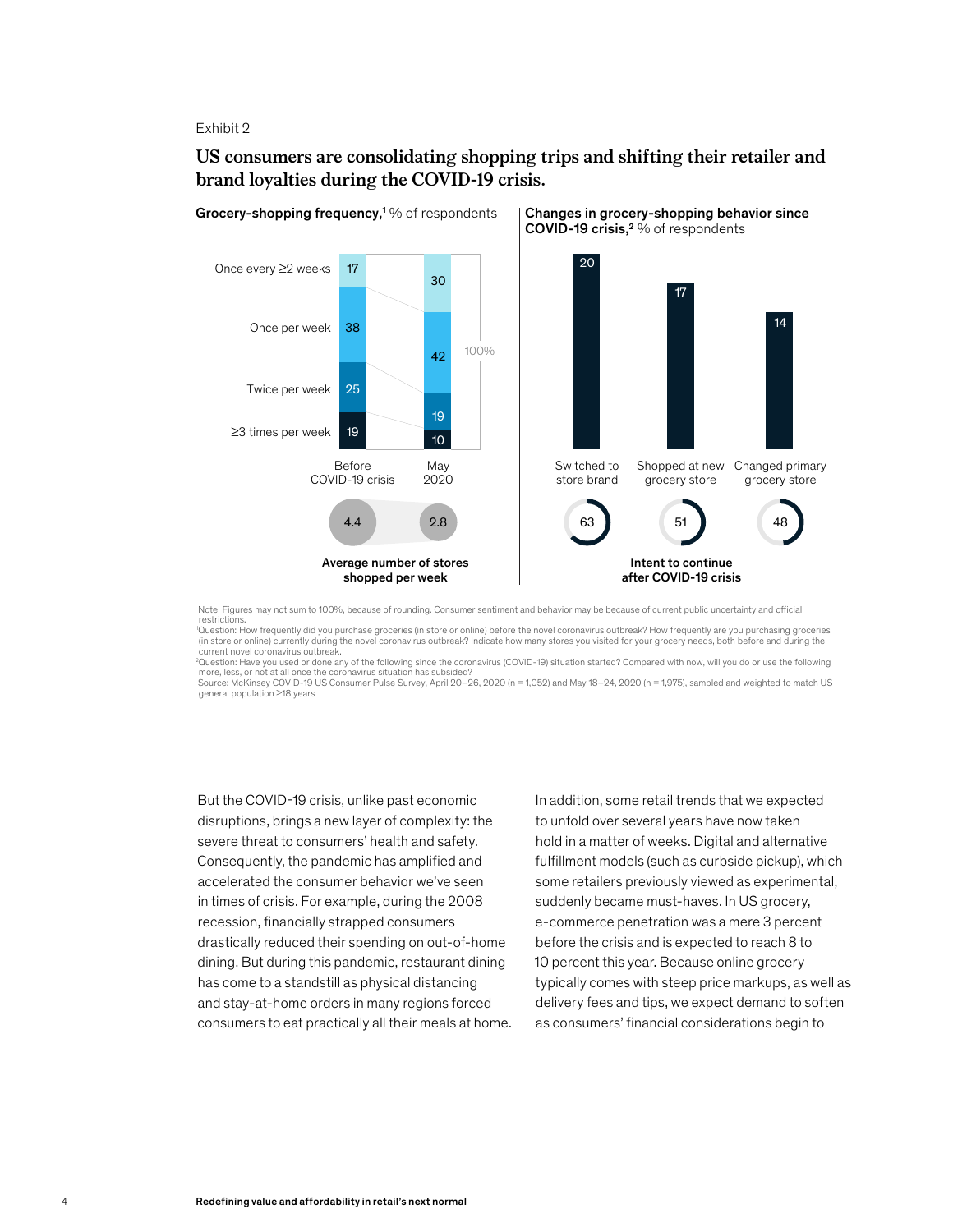#### Exhibit 2

# US consumers are consolidating shopping trips and shifting their retailer and **US consumers are consolidating shopping trips and shifting their retailer and**  brand loyalties during the COVID-19 crisis. **brand loyalties during the COVID-19 crisis.**



Note: Figures may not sum to 100%, because of rounding. Consumer sentiment and behavior may be because of current public uncertainty and official restrictions.

1 Question: How frequently did you purchase groceries (in store or online) before the novel coronavirus outbreak? How frequently are you purchasing groceries (in store or online) currently during the novel coronavirus outbreak? Indicate how many stores you visited for your grocery needs, both before and during the current novel coronavirus outbreak.

2 Question: Have you used or done any of the following since the coronavirus (COVID-19) situation started? Compared with now, will you do or use the following more, less, or not at all once the coronavirus situation has subsided? Source: McKinsey COVID-19 US Consumer Pulse Survey, April 20–26, 2020 (n = 1,052) and May 18–24, 2020 (n = 1,975), sampled and weighted to match US general population ≥18 years

But the COVID-19 crisis, unlike past economic disruptions, brings a new layer of complexity: the severe threat to consumers' health and safety. Consequently, the pandemic has amplified and accelerated the consumer behavior we've seen in times of crisis. For example, during the 2008 recession, financially strapped consumers drastically reduced their spending on out-of-home dining. But during this pandemic, restaurant dining has come to a standstill as physical distancing and stay-at-home orders in many regions forced consumers to eat practically all their meals at home.

In addition, some retail trends that we expected to unfold over several years have now taken hold in a matter of weeks. Digital and alternative fulfillment models (such as curbside pickup), which some retailers previously viewed as experimental, suddenly became must-haves. In US grocery, e-commerce penetration was a mere 3 percent before the crisis and is expected to reach 8 to 10 percent this year. Because online grocery typically comes with steep price markups, as well as delivery fees and tips, we expect demand to soften as consumers' financial considerations begin to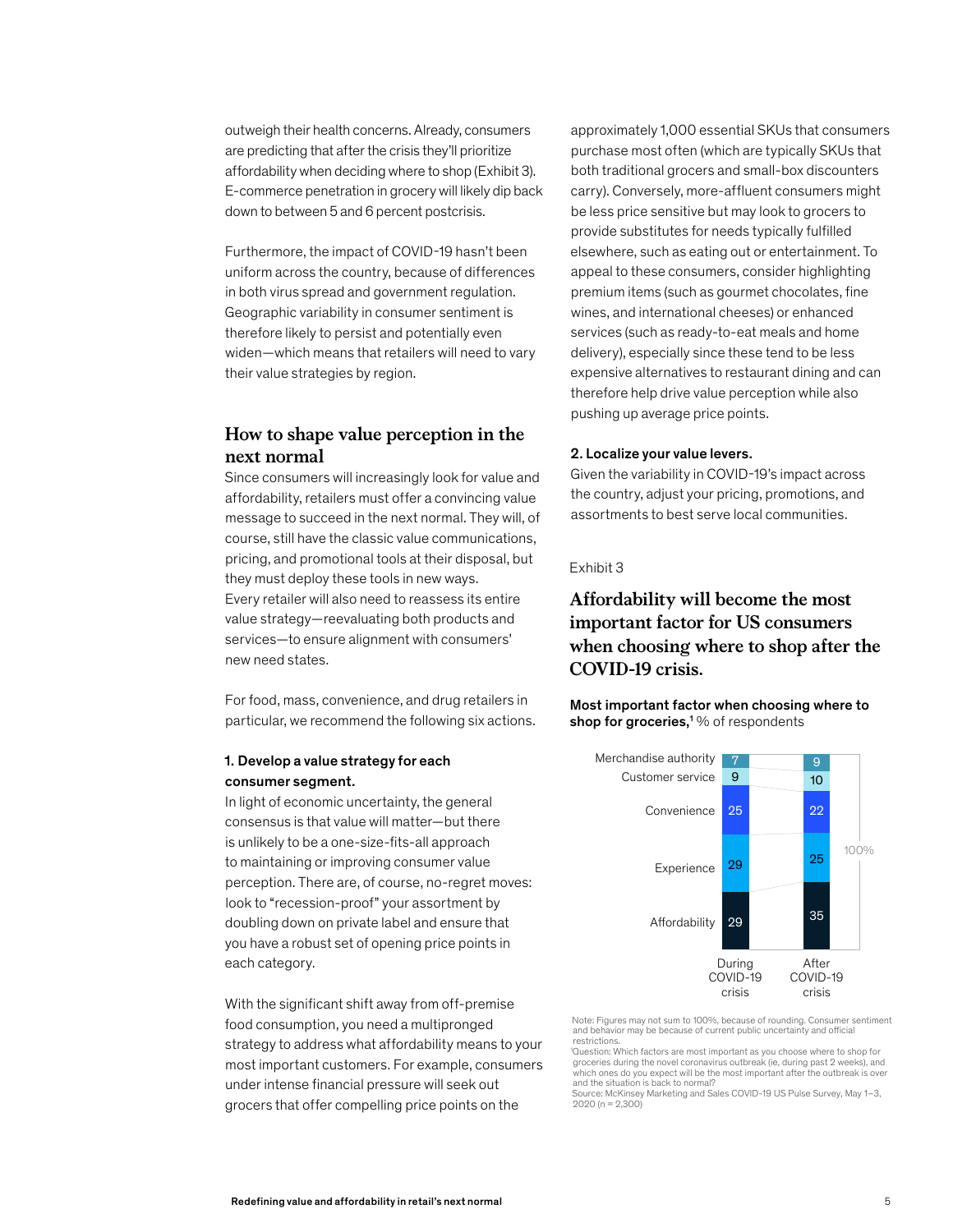outweigh their health concerns. Already, consumers are predicting that after the crisis they'll prioritize affordability when deciding where to shop (Exhibit 3). E-commerce penetration in grocery will likely dip back down to between 5 and 6 percent postcrisis.

Furthermore, the impact of COVID-19 hasn't been uniform across the country, because of differences in both virus spread and government regulation. Geographic variability in consumer sentiment is therefore likely to persist and potentially even widen—which means that retailers will need to vary their value strategies by region.

# **How to shape value perception in the next normal**

Since consumers will increasingly look for value and affordability, retailers must offer a convincing value message to succeed in the next normal. They will, of course, still have the classic value communications, pricing, and promotional tools at their disposal, but they must deploy these tools in new ways. Every retailer will also need to reassess its entire value strategy—reevaluating both products and services—to ensure alignment with consumers' new need states.

For food, mass, convenience, and drug retailers in particular, we recommend the following six actions.

# 1. Develop a value strategy for each consumer segment.

In light of economic uncertainty, the general consensus is that value will matter—but there is unlikely to be a one-size-fits-all approach to maintaining or improving consumer value perception. There are, of course, no-regret moves: look to "recession-proof" your assortment by doubling down on private label and ensure that you have a robust set of opening price points in each category.

With the significant shift away from off-premise food consumption, you need a multipronged strategy to address what affordability means to your most important customers. For example, consumers under intense financial pressure will seek out grocers that offer compelling price points on the

approximately 1,000 essential SKUs that consumers purchase most often (which are typically SKUs that both traditional grocers and small-box discounters carry). Conversely, more-affluent consumers might be less price sensitive but may look to grocers to provide substitutes for needs typically fulfilled elsewhere, such as eating out or entertainment. To appeal to these consumers, consider highlighting premium items (such as gourmet chocolates, fine wines, and international cheeses) or enhanced services (such as ready-to-eat meals and home delivery), especially since these tend to be less expensive alternatives to restaurant dining and can therefore help drive value perception while also pushing up average price points.

#### 2. Localize your value levers.

Given the variability in COVID-19's impact across the country, adjust your pricing, promotions, and assortments to best serve local communities.

### Exhibit 3 <Redening value and a
ordability in retail's next normal>

# Affordability will become the most important factor for US consumers **important factor for US consumers**  when choosing where to shop after the **when choosing where to shop after the**  COVID-19 crisis. **COVID-19 crisis.**

Most important factor when choosing where to shop for groceries,<sup>1</sup> $\%$  of respondents



Note: Figures may not sum to 100%, because of rounding. Consumer sentiment and behavior may be because of current public uncertainty and official restrictions.

1 Question: Which factors are most important as you choose where to shop for groceries during the novel coronavirus outbreak (ie, during past 2 weeks), and which ones do you expect will be the most important after the outbreak is over and the situation is back to normal?

Source: McKinsey Marketing and Sales COVID-19 US Pulse Survey, May 1–3,  $2020 (n = 2,300)$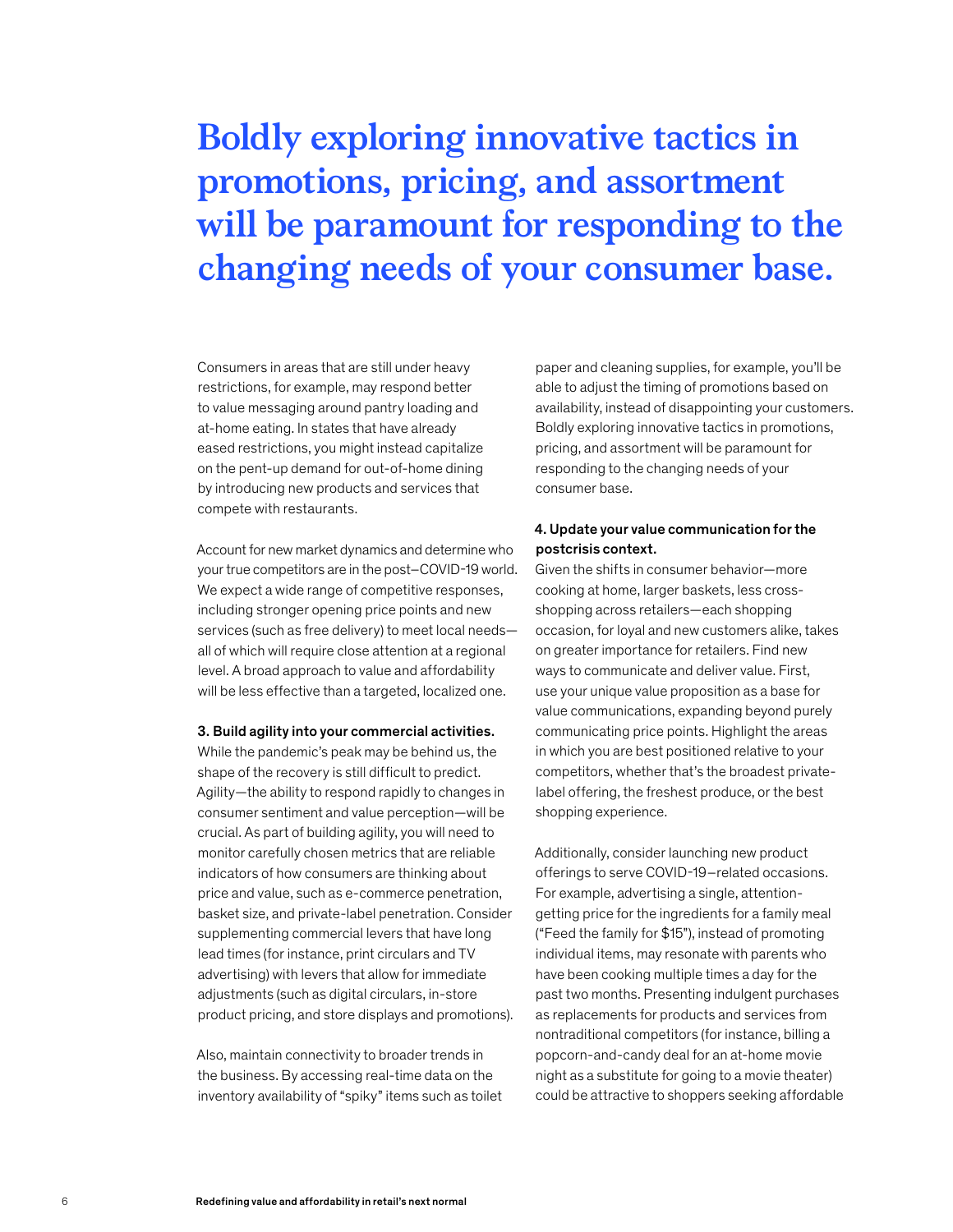# **Boldly exploring innovative tactics in promotions, pricing, and assortment will be paramount for responding to the changing needs of your consumer base.**

Consumers in areas that are still under heavy restrictions, for example, may respond better to value messaging around pantry loading and at-home eating. In states that have already eased restrictions, you might instead capitalize on the pent-up demand for out-of-home dining by introducing new products and services that compete with restaurants.

Account for new market dynamics and determine who your true competitors are in the post–COVID-19 world. We expect a wide range of competitive responses, including stronger opening price points and new services (such as free delivery) to meet local needs all of which will require close attention at a regional level. A broad approach to value and affordability will be less effective than a targeted, localized one.

#### 3. Build agility into your commercial activities.

While the pandemic's peak may be behind us, the shape of the recovery is still difficult to predict. Agility—the ability to respond rapidly to changes in consumer sentiment and value perception—will be crucial. As part of building agility, you will need to monitor carefully chosen metrics that are reliable indicators of how consumers are thinking about price and value, such as e-commerce penetration, basket size, and private-label penetration. Consider supplementing commercial levers that have long lead times (for instance, print circulars and TV advertising) with levers that allow for immediate adjustments (such as digital circulars, in-store product pricing, and store displays and promotions).

Also, maintain connectivity to broader trends in the business. By accessing real-time data on the inventory availability of "spiky" items such as toilet

paper and cleaning supplies, for example, you'll be able to adjust the timing of promotions based on availability, instead of disappointing your customers. Boldly exploring innovative tactics in promotions, pricing, and assortment will be paramount for responding to the changing needs of your consumer base.

# 4. Update your value communication for the postcrisis context.

Given the shifts in consumer behavior—more cooking at home, larger baskets, less crossshopping across retailers—each shopping occasion, for loyal and new customers alike, takes on greater importance for retailers. Find new ways to communicate and deliver value. First, use your unique value proposition as a base for value communications, expanding beyond purely communicating price points. Highlight the areas in which you are best positioned relative to your competitors, whether that's the broadest privatelabel offering, the freshest produce, or the best shopping experience.

Additionally, consider launching new product offerings to serve COVID-19–related occasions. For example, advertising a single, attentiongetting price for the ingredients for a family meal ("Feed the family for \$15"), instead of promoting individual items, may resonate with parents who have been cooking multiple times a day for the past two months. Presenting indulgent purchases as replacements for products and services from nontraditional competitors (for instance, billing a popcorn-and-candy deal for an at-home movie night as a substitute for going to a movie theater) could be attractive to shoppers seeking affordable